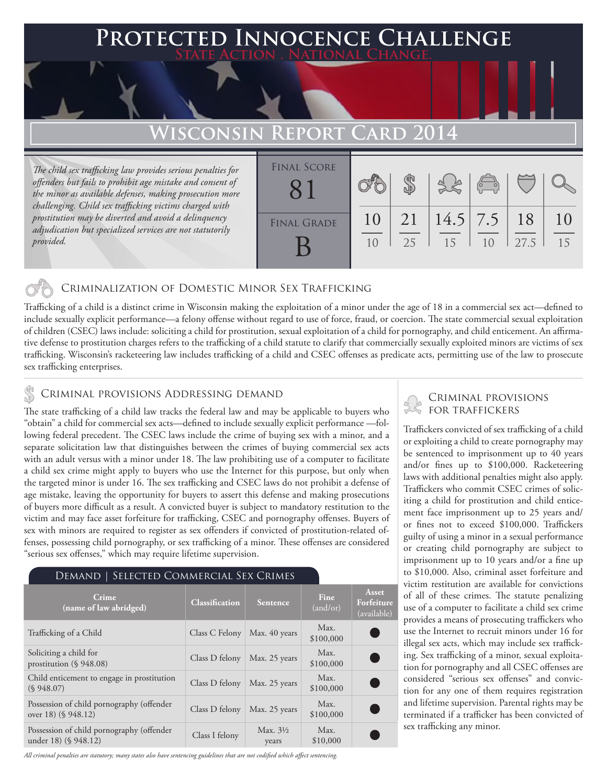# **PTED INNOCENCE CHALLENGE State Action . National Change.**

# **Wisconsin Report Card 2014**

*The child sex trafficking law provides serious penalties for offenders but fails to prohibit age mistake and consent of the minor as available defenses, making prosecution more challenging. Child sex trafficking victims charged with prostitution may be diverted and avoid a delinquency adjudication but specialized services are not statutorily provided.*

| <b>FINAL SCORE</b> |          |          |                  | $\begin{pmatrix} 0 & 0 \\ 0 & 0 \end{pmatrix}$ |            |          |
|--------------------|----------|----------|------------------|------------------------------------------------|------------|----------|
| <b>FINAL GRADE</b> | 10<br>10 | 21<br>25 | $14.5$ 7.5<br>15 | 10                                             | 18<br>27.5 | 10<br>15 |

## Criminalization of Domestic Minor Sex Trafficking

Trafficking of a child is a distinct crime in Wisconsin making the exploitation of a minor under the age of 18 in a commercial sex act—defined to include sexually explicit performance—a felony offense without regard to use of force, fraud, or coercion. The state commercial sexual exploitation of children (CSEC) laws include: soliciting a child for prostitution, sexual exploitation of a child for pornography, and child enticement. An affirmative defense to prostitution charges refers to the trafficking of a child statute to clarify that commercially sexually exploited minors are victims of sex trafficking. Wisconsin's racketeering law includes trafficking of a child and CSEC offenses as predicate acts, permitting use of the law to prosecute sex trafficking enterprises.

## CRIMINAL PROVISIONS ADDRESSING DEMAND

The state trafficking of a child law tracks the federal law and may be applicable to buyers who "obtain" a child for commercial sex acts—defined to include sexually explicit performance —following federal precedent. The CSEC laws include the crime of buying sex with a minor, and a separate solicitation law that distinguishes between the crimes of buying commercial sex acts with an adult versus with a minor under 18. The law prohibiting use of a computer to facilitate a child sex crime might apply to buyers who use the Internet for this purpose, but only when the targeted minor is under 16. The sex trafficking and CSEC laws do not prohibit a defense of age mistake, leaving the opportunity for buyers to assert this defense and making prosecutions of buyers more difficult as a result. A convicted buyer is subject to mandatory restitution to the victim and may face asset forfeiture for trafficking, CSEC and pornography offenses. Buyers of sex with minors are required to register as sex offenders if convicted of prostitution-related offenses, possessing child pornography, or sex trafficking of a minor. These offenses are considered "serious sex offenses," which may require lifetime supervision.

#### Demand | Selected Commercial Sex Crimes

| Crime<br>(name of law abridged)                                   | <b>Classification</b> | <b>Sentence</b>              | <b>Fine</b><br>(and/or) | <b>Asset</b><br>Forfeiture<br>(available) |
|-------------------------------------------------------------------|-----------------------|------------------------------|-------------------------|-------------------------------------------|
| Trafficking of a Child                                            | Class C Felony        | Max. 40 years                | Max.<br>\$100,000       |                                           |
| Soliciting a child for<br>prostitution $(\S 948.08)$              | Class D felony        | Max. 25 years                | Max.<br>\$100,000       |                                           |
| Child enticement to engage in prostitution<br>(S.948.07)          | Class D felony        | Max. 25 years                | Max.<br>\$100,000       |                                           |
| Possession of child pornography (offender<br>over 18) (§ 948.12)  | Class D felony        | Max. 25 years                | Max.<br>\$100,000       |                                           |
| Possession of child pornography (offender<br>under 18) (§ 948.12) | Class I felony        | Max. $3\frac{1}{2}$<br>years | Max.<br>\$10,000        |                                           |

*All criminal penalties are statutory; many states also have sentencing guidelines that are not codified which affect sentencing.* 

## Criminal provisions for traffickers

Traffickers convicted of sex trafficking of a child or exploiting a child to create pornography may be sentenced to imprisonment up to 40 years and/or fines up to \$100,000. Racketeering laws with additional penalties might also apply. Traffickers who commit CSEC crimes of soliciting a child for prostitution and child enticement face imprisonment up to 25 years and/ or fines not to exceed \$100,000. Traffickers guilty of using a minor in a sexual performance or creating child pornography are subject to imprisonment up to 10 years and/or a fine up to \$10,000. Also, criminal asset forfeiture and victim restitution are available for convictions of all of these crimes. The statute penalizing use of a computer to facilitate a child sex crime provides a means of prosecuting traffickers who use the Internet to recruit minors under 16 for illegal sex acts, which may include sex trafficking. Sex trafficking of a minor, sexual exploitation for pornography and all CSEC offenses are considered "serious sex offenses" and conviction for any one of them requires registration and lifetime supervision. Parental rights may be terminated if a trafficker has been convicted of sex trafficking any minor.